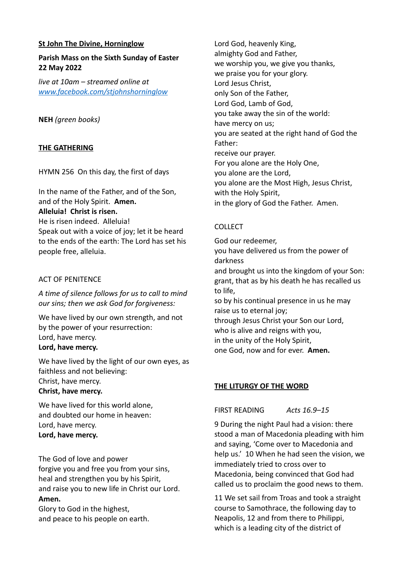## **St John The Divine, Horninglow**

**Parish Mass on the Sixth Sunday of Easter 22 May 2022**

*live at 10am – streamed online at [www.facebook.com/stjohnshorninglow](http://www.facebook.com/stjohnshorninglow)*

**NEH** *(green books)*

# **THE GATHERING**

HYMN 256 On this day, the first of days

In the name of the Father, and of the Son, and of the Holy Spirit. **Amen. Alleluia! Christ is risen.**

He is risen indeed. Alleluia! Speak out with a voice of joy; let it be heard to the ends of the earth: The Lord has set his

people free, alleluia.

# ACT OF PENITENCE

*A time of silence follows for us to call to mind our sins; then we ask God for forgiveness:*

We have lived by our own strength, and not by the power of your resurrection: Lord, have mercy.

# **Lord, have mercy.**

We have lived by the light of our own eyes, as faithless and not believing: Christ, have mercy. **Christ, have mercy.**

We have lived for this world alone, and doubted our home in heaven: Lord, have mercy. **Lord, have mercy.**

The God of love and power forgive you and free you from your sins, heal and strengthen you by his Spirit, and raise you to new life in Christ our Lord. **Amen.**

Glory to God in the highest, and peace to his people on earth. Lord God, heavenly King, almighty God and Father, we worship you, we give you thanks, we praise you for your glory. Lord Jesus Christ, only Son of the Father, Lord God, Lamb of God, you take away the sin of the world: have mercy on us; you are seated at the right hand of God the Father: receive our prayer. For you alone are the Holy One, you alone are the Lord, you alone are the Most High, Jesus Christ, with the Holy Spirit, in the glory of God the Father. Amen.

# COLLECT

God our redeemer, you have delivered us from the power of darkness and brought us into the kingdom of your Son: grant, that as by his death he has recalled us to life, so by his continual presence in us he may raise us to eternal joy; through Jesus Christ your Son our Lord, who is alive and reigns with you, in the unity of the Holy Spirit, one God, now and for ever. **Amen.**

## **THE LITURGY OF THE WORD**

FIRST READING *Acts 16.9–15*

9 During the night Paul had a vision: there stood a man of Macedonia pleading with him and saying, 'Come over to Macedonia and help us.' 10 When he had seen the vision, we immediately tried to cross over to Macedonia, being convinced that God had called us to proclaim the good news to them.

11 We set sail from Troas and took a straight course to Samothrace, the following day to Neapolis, 12 and from there to Philippi, which is a leading city of the district of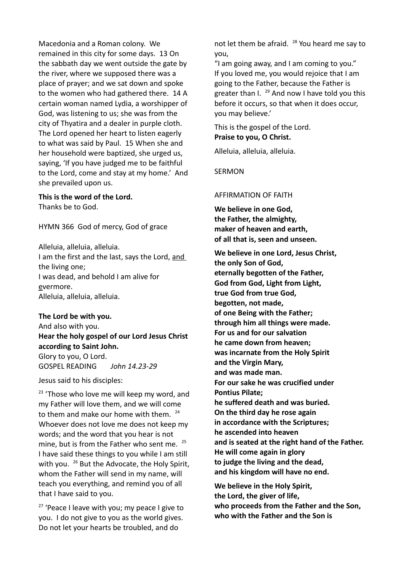Macedonia and a Roman colony. We remained in this city for some days. 13 On the sabbath day we went outside the gate by the river, where we supposed there was a place of prayer; and we sat down and spoke to the women who had gathered there. 14 A certain woman named Lydia, a worshipper of God, was listening to us; she was from the city of Thyatira and a dealer in purple cloth. The Lord opened her heart to listen eagerly to what was said by Paul. 15 When she and her household were baptized, she urged us, saying, 'If you have judged me to be faithful to the Lord, come and stay at my home.' And she prevailed upon us.

### **This is the word of the Lord.**

Thanks be to God.

HYMN 366 God of mercy, God of grace

Alleluia, alleluia, alleluia. I am the first and the last, says the Lord, and the living one; I was dead, and behold I am alive for evermore. Alleluia, alleluia, alleluia.

### **The Lord be with you.**

And also with you. **Hear the holy gospel of our Lord Jesus Christ according to Saint John.**

Glory to you, O Lord. GOSPEL READING *John 14.23-29*

Jesus said to his disciples:

 $23$  'Those who love me will keep my word, and my Father will love them, and we will come to them and make our home with them.  $24$ Whoever does not love me does not keep my words; and the word that you hear is not mine, but is from the Father who sent me.  $25$ I have said these things to you while I am still with you. <sup>26</sup> But the Advocate, the Holy Spirit, whom the Father will send in my name, will teach you everything, and remind you of all that I have said to you.

 $27$  'Peace I leave with you; my peace I give to you. I do not give to you as the world gives. Do not let your hearts be troubled, and do

not let them be afraid. <sup>28</sup> You heard me say to you,

"I am going away, and I am coming to you." If you loved me, you would rejoice that I am going to the Father, because the Father is greater than I.  $^{29}$  And now I have told you this before it occurs, so that when it does occur, you may believe.'

This is the gospel of the Lord. **Praise to you, O Christ.**

Alleluia, alleluia, alleluia.

SERMON

### AFFIRMATION OF FAITH

**We believe in one God, the Father, the almighty, maker of heaven and earth, of all that is, seen and unseen.**

**We believe in one Lord, Jesus Christ, the only Son of God, eternally begotten of the Father, God from God, Light from Light, true God from true God, begotten, not made, of one Being with the Father; through him all things were made. For us and for our salvation he came down from heaven; was incarnate from the Holy Spirit and the Virgin Mary, and was made man. For our sake he was crucified under Pontius Pilate; he suffered death and was buried. On the third day he rose again in accordance with the Scriptures; he ascended into heaven and is seated at the right hand of the Father. He will come again in glory to judge the living and the dead, and his kingdom will have no end.**

**We believe in the Holy Spirit, the Lord, the giver of life, who proceeds from the Father and the Son, who with the Father and the Son is**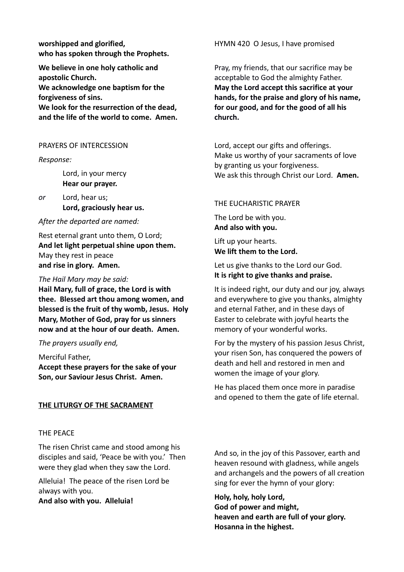**worshipped and glorified, who has spoken through the Prophets.**

**We believe in one holy catholic and apostolic Church. We acknowledge one baptism for the forgiveness of sins. We look for the resurrection of the dead, and the life of the world to come. Amen.**

#### PRAYERS OF INTERCESSION

#### *Response:*

Lord, in your mercy **Hear our prayer.**

*or* Lord, hear us; **Lord, graciously hear us.**

### *After the departed are named:*

Rest eternal grant unto them, O Lord; **And let light perpetual shine upon them.** May they rest in peace **and rise in glory. Amen.**

#### *The Hail Mary may be said:*

**Hail Mary, full of grace, the Lord is with thee. Blessed art thou among women, and blessed is the fruit of thy womb, Jesus. Holy Mary, Mother of God, pray for us sinners now and at the hour of our death. Amen.**

#### *The prayers usually end,*

#### Merciful Father,

**Accept these prayers for the sake of your Son, our Saviour Jesus Christ. Amen.**

#### **THE LITURGY OF THE SACRAMENT**

#### THE PEACE

The risen Christ came and stood among his disciples and said, 'Peace be with you.' Then were they glad when they saw the Lord.

Alleluia! The peace of the risen Lord be always with you.

**And also with you. Alleluia!**

HYMN 420 O Jesus, I have promised

Pray, my friends, that our sacrifice may be acceptable to God the almighty Father. **May the Lord accept this sacrifice at your hands, for the praise and glory of his name, for our good, and for the good of all his church.**

Lord, accept our gifts and offerings. Make us worthy of your sacraments of love by granting us your forgiveness. We ask this through Christ our Lord. **Amen.**

#### THE EUCHARISTIC PRAYER

The Lord be with you. **And also with you.**

Lift up your hearts. **We lift them to the Lord.**

Let us give thanks to the Lord our God. **It is right to give thanks and praise.**

It is indeed right, our duty and our joy, always and everywhere to give you thanks, almighty and eternal Father, and in these days of Easter to celebrate with joyful hearts the memory of your wonderful works.

For by the mystery of his passion Jesus Christ, your risen Son, has conquered the powers of death and hell and restored in men and women the image of your glory.

He has placed them once more in paradise and opened to them the gate of life eternal.

And so, in the joy of this Passover, earth and heaven resound with gladness, while angels and archangels and the powers of all creation sing for ever the hymn of your glory:

**Holy, holy, holy Lord, God of power and might, heaven and earth are full of your glory. Hosanna in the highest.**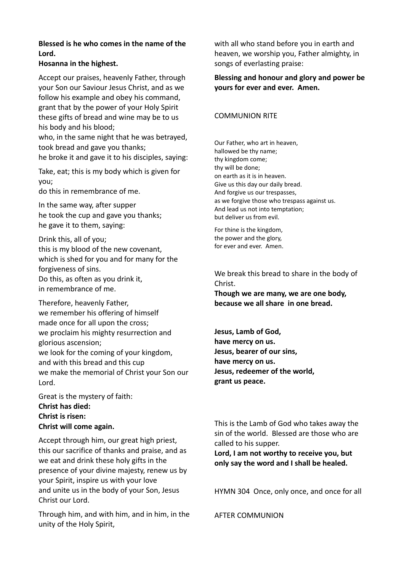# **Blessed is he who comes in the name of the Lord.**

## **Hosanna in the highest.**

Accept our praises, heavenly Father, through your Son our Saviour Jesus Christ, and as we follow his example and obey his command, grant that by the power of your Holy Spirit these gifts of bread and wine may be to us his body and his blood;

who, in the same night that he was betrayed, took bread and gave you thanks;

he broke it and gave it to his disciples, saying:

Take, eat; this is my body which is given for you;

do this in remembrance of me.

In the same way, after supper he took the cup and gave you thanks; he gave it to them, saying:

Drink this, all of you; this is my blood of the new covenant, which is shed for you and for many for the forgiveness of sins. Do this, as often as you drink it, in remembrance of me.

Therefore, heavenly Father, we remember his offering of himself made once for all upon the cross; we proclaim his mighty resurrection and glorious ascension; we look for the coming of your kingdom, and with this bread and this cup we make the memorial of Christ your Son our Lord.

Great is the mystery of faith: **Christ has died: Christ is risen: Christ will come again.**

Accept through him, our great high priest, this our sacrifice of thanks and praise, and as we eat and drink these holy gifts in the presence of your divine majesty, renew us by your Spirit, inspire us with your love and unite us in the body of your Son, Jesus Christ our Lord.

Through him, and with him, and in him, in the unity of the Holy Spirit,

with all who stand before you in earth and heaven, we worship you, Father almighty, in songs of everlasting praise:

# **Blessing and honour and glory and power be yours for ever and ever. Amen.**

## COMMUNION RITE

Our Father, who art in heaven, hallowed be thy name; thy kingdom come; thy will be done; on earth as it is in heaven. Give us this day our daily bread. And forgive us our trespasses, as we forgive those who trespass against us. And lead us not into temptation; but deliver us from evil.

For thine is the kingdom, the power and the glory, for ever and ever. Amen.

We break this bread to share in the body of Christ. **Though we are many, we are one body,**

**because we all share in one bread.**

**Jesus, Lamb of God, have mercy on us. Jesus, bearer of our sins, have mercy on us. Jesus, redeemer of the world, grant us peace.**

This is the Lamb of God who takes away the sin of the world. Blessed are those who are called to his supper.

**Lord, I am not worthy to receive you, but only say the word and I shall be healed.**

HYMN 304 Once, only once, and once for all

AFTER COMMUNION